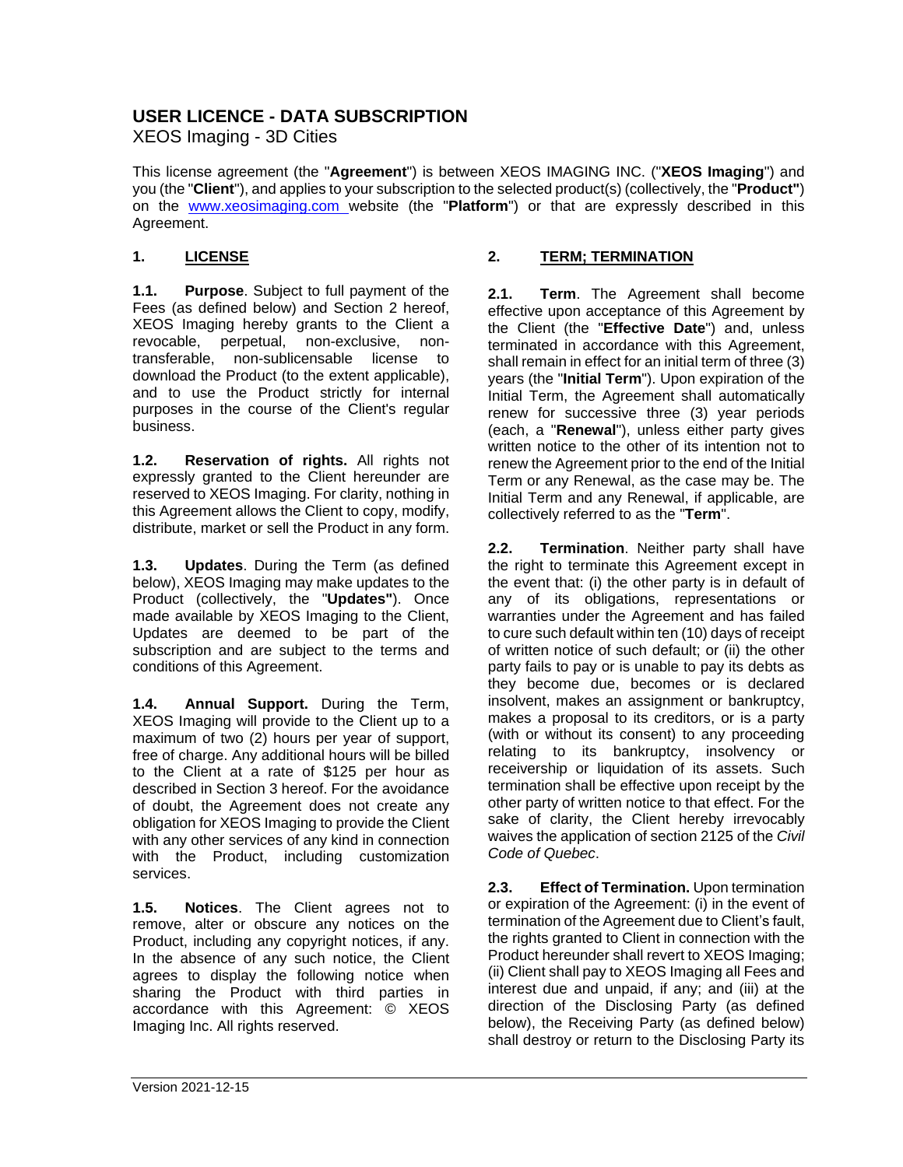# **USER LICENCE - DATA SUBSCRIPTION**

XEOS Imaging - 3D Cities

This license agreement (the "**Agreement**") is between XEOS IMAGING INC. ("**XEOS Imaging**") and you (the "**Client**"), and applies to your subscription to the selected product(s) (collectively, the "**Product"**) on the [www.xeosimaging.com w](http://www.xeosimaging.com/)ebsite (the "**Platform**") or that are expressly described in this Agreement.

#### **1. LICENSE**

**1.1. Purpose**. Subject to full payment of the Fees (as defined below) and Section [2](#page-0-0) hereof, XEOS Imaging hereby grants to the Client a revocable, perpetual, non-exclusive, nonnon-sublicensable license to download the Product (to the extent applicable), and to use the Product strictly for internal purposes in the course of the Client's regular business.

**1.2. Reservation of rights.** All rights not expressly granted to the Client hereunder are reserved to XEOS Imaging. For clarity, nothing in this Agreement allows the Client to copy, modify, distribute, market or sell the Product in any form.

**1.3. Updates**. During the Term (as defined below), XEOS Imaging may make updates to the Product (collectively, the "**Updates"**). Once made available by XEOS Imaging to the Client, Updates are deemed to be part of the subscription and are subject to the terms and conditions of this Agreement.

**1.4. Annual Support.** During the Term, XEOS Imaging will provide to the Client up to a maximum of two (2) hours per year of support, free of charge. Any additional hours will be billed to the Client at a rate of \$125 per hour as described in Section [3](#page-1-0) hereof. For the avoidance of doubt, the Agreement does not create any obligation for XEOS Imaging to provide the Client with any other services of any kind in connection with the Product, including customization services.

**1.5. Notices**. The Client agrees not to remove, alter or obscure any notices on the Product, including any copyright notices, if any. In the absence of any such notice, the Client agrees to display the following notice when sharing the Product with third parties in accordance with this Agreement: © XEOS Imaging Inc. All rights reserved.

#### <span id="page-0-0"></span>**2. TERM; TERMINATION**

**2.1. Term**. The Agreement shall become effective upon acceptance of this Agreement by the Client (the "**Effective Date**") and, unless terminated in accordance with this Agreement, shall remain in effect for an initial term of three (3) years (the "**Initial Term**"). Upon expiration of the Initial Term, the Agreement shall automatically renew for successive three (3) year periods (each, a "**Renewal**"), unless either party gives written notice to the other of its intention not to renew the Agreement prior to the end of the Initial Term or any Renewal, as the case may be. The Initial Term and any Renewal, if applicable, are collectively referred to as the "**Term**".

**2.2. Termination**. Neither party shall have the right to terminate this Agreement except in the event that: (i) the other party is in default of any of its obligations, representations or warranties under the Agreement and has failed to cure such default within ten (10) days of receipt of written notice of such default; or (ii) the other party fails to pay or is unable to pay its debts as they become due, becomes or is declared insolvent, makes an assignment or bankruptcy, makes a proposal to its creditors, or is a party (with or without its consent) to any proceeding relating to its bankruptcy, insolvency or receivership or liquidation of its assets. Such termination shall be effective upon receipt by the other party of written notice to that effect. For the sake of clarity, the Client hereby irrevocably waives the application of section 2125 of the *Civil Code of Quebec*.

**2.3. Effect of Termination.** Upon termination or expiration of the Agreement: (i) in the event of termination of the Agreement due to Client's fault, the rights granted to Client in connection with the Product hereunder shall revert to XEOS Imaging; (ii) Client shall pay to XEOS Imaging all Fees and interest due and unpaid, if any; and (iii) at the direction of the Disclosing Party (as defined below), the Receiving Party (as defined below) shall destroy or return to the Disclosing Party its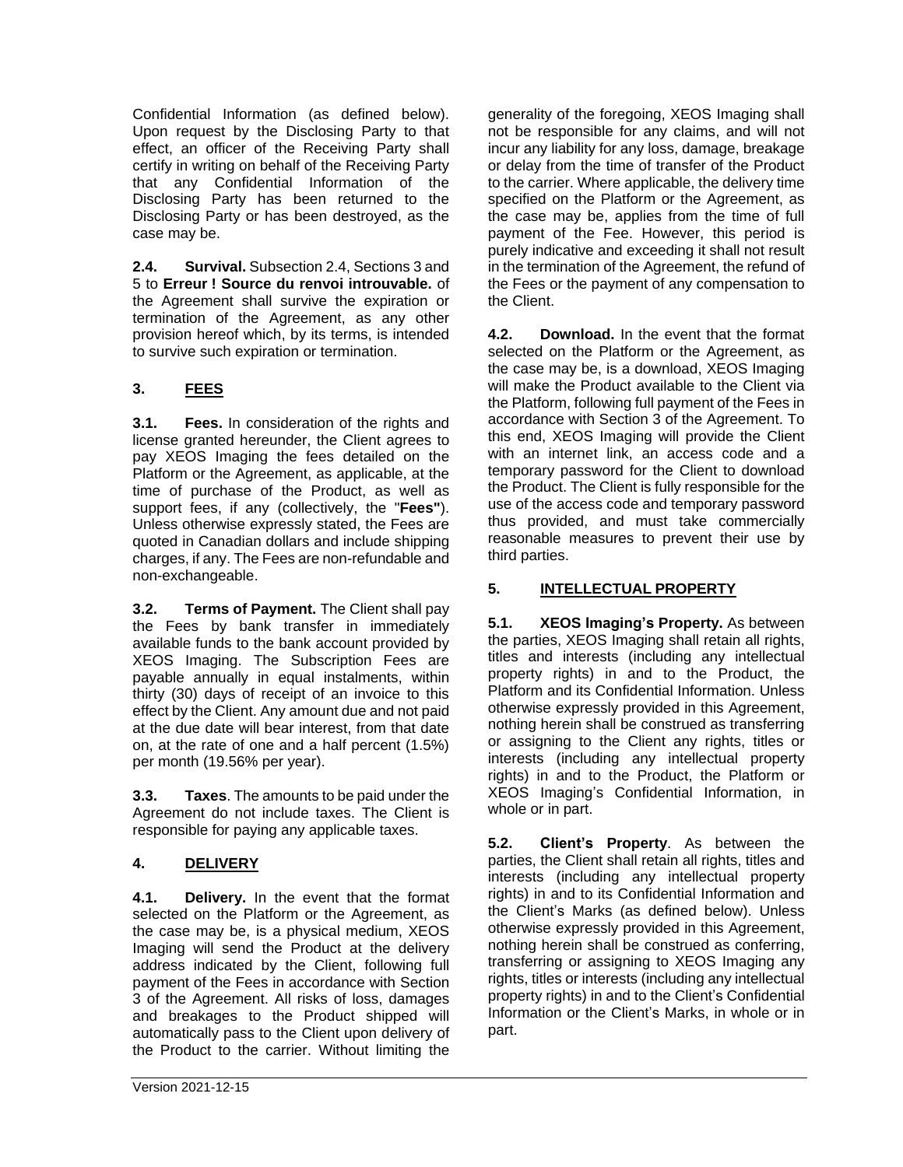Confidential Information (as defined below). Upon request by the Disclosing Party to that effect, an officer of the Receiving Party shall certify in writing on behalf of the Receiving Party that any Confidential Information of the Disclosing Party has been returned to the Disclosing Party or has been destroyed, as the case may be.

**2.4. Survival.** Subsection 2.4, Sections 3 and 5 to **Erreur ! Source du renvoi introuvable.** of the Agreement shall survive the expiration or termination of the Agreement, as any other provision hereof which, by its terms, is intended to survive such expiration or termination.

# <span id="page-1-0"></span>**3. FEES**

**3.1. Fees.** In consideration of the rights and license granted hereunder, the Client agrees to pay XEOS Imaging the fees detailed on the Platform or the Agreement, as applicable, at the time of purchase of the Product, as well as support fees, if any (collectively, the "**Fees"**). Unless otherwise expressly stated, the Fees are quoted in Canadian dollars and include shipping charges, if any. The Fees are non-refundable and non-exchangeable.

**3.2. Terms of Payment.** The Client shall pay the Fees by bank transfer in immediately available funds to the bank account provided by XEOS Imaging. The Subscription Fees are payable annually in equal instalments, within thirty (30) days of receipt of an invoice to this effect by the Client. Any amount due and not paid at the due date will bear interest, from that date on, at the rate of one and a half percent (1.5%) per month (19.56% per year).

**3.3. Taxes**. The amounts to be paid under the Agreement do not include taxes. The Client is responsible for paying any applicable taxes.

# **4. DELIVERY**

**4.1. Delivery.** In the event that the format selected on the Platform or the Agreement, as the case may be, is a physical medium, XEOS Imaging will send the Product at the delivery address indicated by the Client, following full payment of the Fees in accordance with Section 3 of the Agreement. All risks of loss, damages and breakages to the Product shipped will automatically pass to the Client upon delivery of the Product to the carrier. Without limiting the

generality of the foregoing, XEOS Imaging shall not be responsible for any claims, and will not incur any liability for any loss, damage, breakage or delay from the time of transfer of the Product to the carrier. Where applicable, the delivery time specified on the Platform or the Agreement, as the case may be, applies from the time of full payment of the Fee. However, this period is purely indicative and exceeding it shall not result in the termination of the Agreement, the refund of the Fees or the payment of any compensation to the Client.

**4.2. Download.** In the event that the format selected on the Platform or the Agreement, as the case may be, is a download, XEOS Imaging will make the Product available to the Client via the Platform, following full payment of the Fees in accordance with Section 3 of the Agreement. To this end, XEOS Imaging will provide the Client with an internet link, an access code and a temporary password for the Client to download the Product. The Client is fully responsible for the use of the access code and temporary password thus provided, and must take commercially reasonable measures to prevent their use by third parties.

## **5. INTELLECTUAL PROPERTY**

**5.1. XEOS Imaging's Property.** As between the parties, XEOS Imaging shall retain all rights, titles and interests (including any intellectual property rights) in and to the Product, the Platform and its Confidential Information. Unless otherwise expressly provided in this Agreement, nothing herein shall be construed as transferring or assigning to the Client any rights, titles or interests (including any intellectual property rights) in and to the Product, the Platform or XEOS Imaging's Confidential Information, in whole or in part.

**5.2. Client's Property**. As between the parties, the Client shall retain all rights, titles and interests (including any intellectual property rights) in and to its Confidential Information and the Client's Marks (as defined below). Unless otherwise expressly provided in this Agreement, nothing herein shall be construed as conferring, transferring or assigning to XEOS Imaging any rights, titles or interests (including any intellectual property rights) in and to the Client's Confidential Information or the Client's Marks, in whole or in part.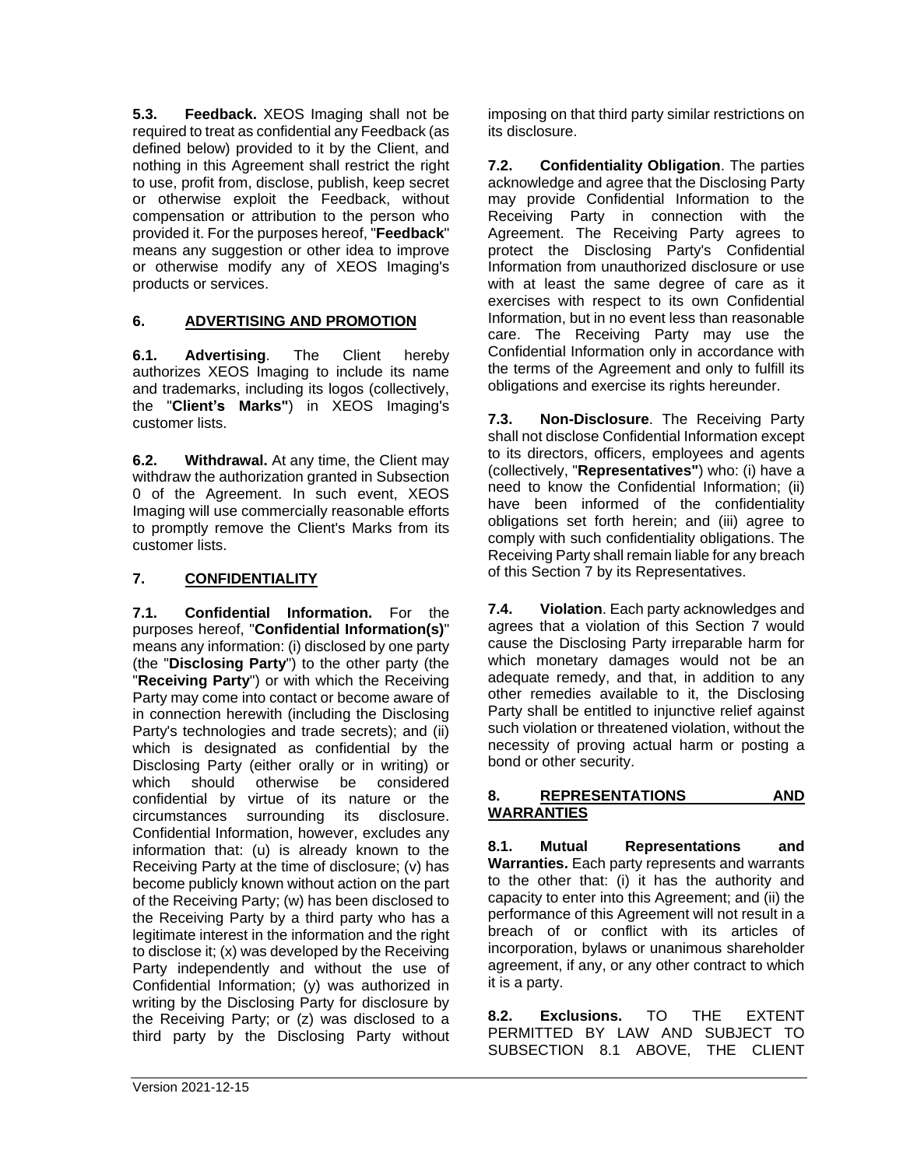**5.3. Feedback.** XEOS Imaging shall not be required to treat as confidential any Feedback (as defined below) provided to it by the Client, and nothing in this Agreement shall restrict the right to use, profit from, disclose, publish, keep secret or otherwise exploit the Feedback, without compensation or attribution to the person who provided it. For the purposes hereof, "**Feedback**" means any suggestion or other idea to improve or otherwise modify any of XEOS Imaging's products or services.

## **6. ADVERTISING AND PROMOTION**

<span id="page-2-0"></span>**6.1. Advertising**. The Client hereby authorizes XEOS Imaging to include its name and trademarks, including its logos (collectively, the "**Client's Marks"**) in XEOS Imaging's customer lists.

**6.2. Withdrawal.** At any time, the Client may withdraw the authorization granted in Subsection [0](#page-2-0) of the Agreement. In such event, XEOS Imaging will use commercially reasonable efforts to promptly remove the Client's Marks from its customer lists.

### **7. CONFIDENTIALITY**

**7.1. Confidential Information.** For the purposes hereof, "**Confidential Information(s)**" means any information: (i) disclosed by one party (the "**Disclosing Party**") to the other party (the "**Receiving Party**") or with which the Receiving Party may come into contact or become aware of in connection herewith (including the Disclosing Party's technologies and trade secrets); and (ii) which is designated as confidential by the Disclosing Party (either orally or in writing) or which should otherwise be considered confidential by virtue of its nature or the circumstances surrounding its disclosure. Confidential Information, however, excludes any information that: (u) is already known to the Receiving Party at the time of disclosure; (v) has become publicly known without action on the part of the Receiving Party; (w) has been disclosed to the Receiving Party by a third party who has a legitimate interest in the information and the right to disclose it; (x) was developed by the Receiving Party independently and without the use of Confidential Information; (y) was authorized in writing by the Disclosing Party for disclosure by the Receiving Party; or (z) was disclosed to a third party by the Disclosing Party without imposing on that third party similar restrictions on its disclosure.

**7.2. Confidentiality Obligation**. The parties acknowledge and agree that the Disclosing Party may provide Confidential Information to the Receiving Party in connection with the Agreement. The Receiving Party agrees to protect the Disclosing Party's Confidential Information from unauthorized disclosure or use with at least the same degree of care as it exercises with respect to its own Confidential Information, but in no event less than reasonable care. The Receiving Party may use the Confidential Information only in accordance with the terms of the Agreement and only to fulfill its obligations and exercise its rights hereunder.

**7.3. Non-Disclosure**. The Receiving Party shall not disclose Confidential Information except to its directors, officers, employees and agents (collectively, "**Representatives"**) who: (i) have a need to know the Confidential Information; (ii) have been informed of the confidentiality obligations set forth herein; and (iii) agree to comply with such confidentiality obligations. The Receiving Party shall remain liable for any breach of this Section 7 by its Representatives.

**7.4. Violation**. Each party acknowledges and agrees that a violation of this Section 7 would cause the Disclosing Party irreparable harm for which monetary damages would not be an adequate remedy, and that, in addition to any other remedies available to it, the Disclosing Party shall be entitled to injunctive relief against such violation or threatened violation, without the necessity of proving actual harm or posting a bond or other security.

#### **8. REPRESENTATIONS AND WARRANTIES**

**8.1. Mutual Representations and Warranties.** Each party represents and warrants to the other that: (i) it has the authority and capacity to enter into this Agreement; and (ii) the performance of this Agreement will not result in a breach of or conflict with its articles of incorporation, bylaws or unanimous shareholder agreement, if any, or any other contract to which it is a party.

**8.2. Exclusions.** TO THE EXTENT PERMITTED BY LAW AND SUBJECT TO SUBSECTION 8.1 ABOVE, THE CLIENT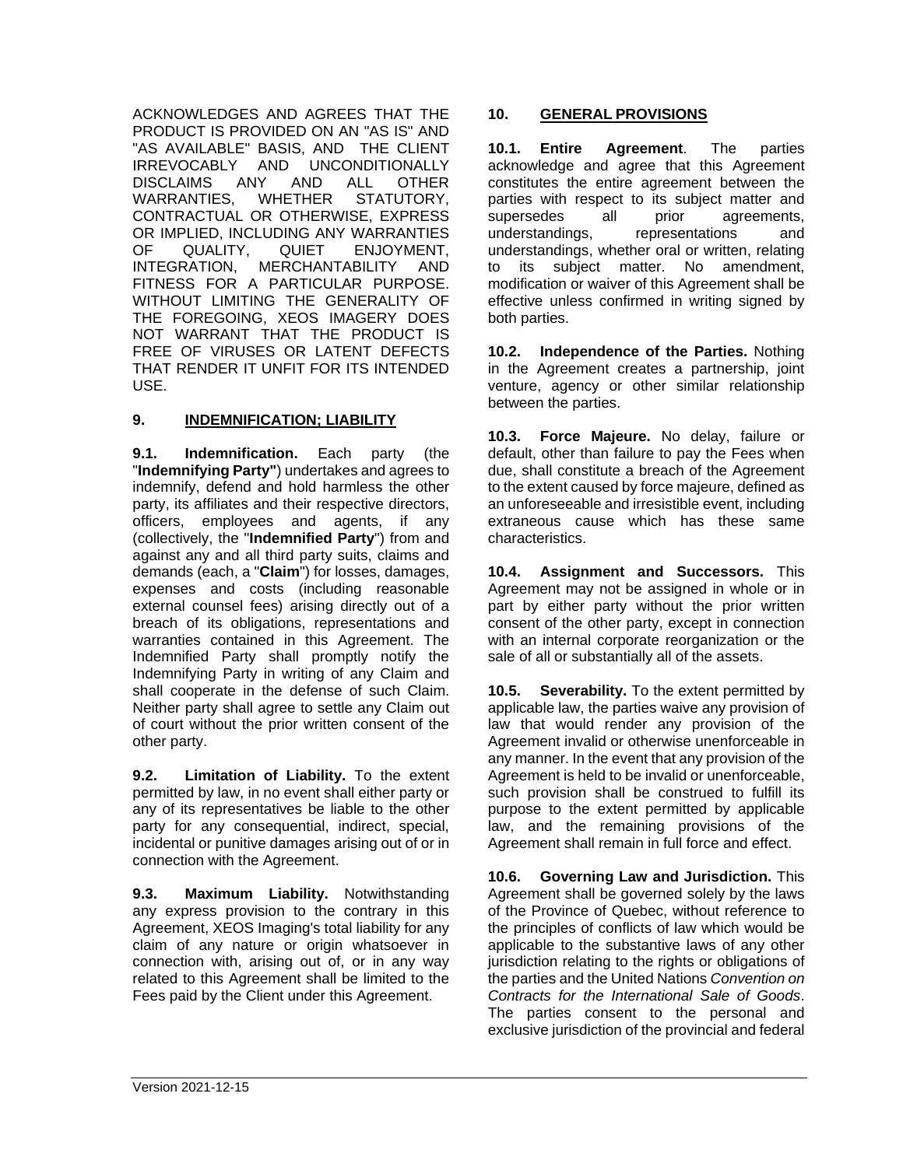ACKNOWLEDGES AND AGREES THAT THE PRODUCT IS PROVIDED ON AN "AS IS" AND "AS AVAILABLE" BASIS, AND THE CLIENT IRREVOCABLY AND UNCONDITIONALLY DISCLAIMS ANY AND ALL OTHER WARRANTIES, WHETHER STATUTORY, CONTRACTUAL OR OTHERWISE, EXPRESS OR IMPLIED, INCLUDING ANY WARRANTIES OF QUALITY, QUIET ENJOYMENT, INTEGRATION, MERCHANTABILITY AND FITNESS FOR A PARTICULAR PURPOSE. WITHOUT LIMITING THE GENERALITY OF THE FOREGOING, XEOS IMAGERY DOES NOT WARRANT THAT THE PRODUCT IS FREE OF VIRUSES OR LATENT DEFECTS THAT RENDER IT UNFIT FOR ITS INTENDED USE.

### **9. INDEMNIFICATION; LIABILITY**

**9.1. Indemnification.** Each party (the "**Indemnifying Party"**) undertakes and agrees to indemnify, defend and hold harmless the other party, its affiliates and their respective directors, officers, employees and agents, if any (collectively, the "**Indemnified Party**") from and against any and all third party suits, claims and demands (each, a "**Claim**") for losses, damages, expenses and costs (including reasonable external counsel fees) arising directly out of a breach of its obligations, representations and warranties contained in this Agreement. The Indemnified Party shall promptly notify the Indemnifying Party in writing of any Claim and shall cooperate in the defense of such Claim. Neither party shall agree to settle any Claim out of court without the prior written consent of the other party.

**9.2. Limitation of Liability.** To the extent permitted by law, in no event shall either party or any of its representatives be liable to the other party for any consequential, indirect, special, incidental or punitive damages arising out of or in connection with the Agreement.

**9.3. Maximum Liability.** Notwithstanding any express provision to the contrary in this Agreement, XEOS Imaging's total liability for any claim of any nature or origin whatsoever in connection with, arising out of, or in any way related to this Agreement shall be limited to the Fees paid by the Client under this Agreement.

#### **10. GENERAL PROVISIONS**

**10.1. Entire Agreement**. The parties acknowledge and agree that this Agreement constitutes the entire agreement between the parties with respect to its subject matter and supersedes all prior agreements, understandings, representations and understandings, whether oral or written, relating to its subject matter. No amendment, modification or waiver of this Agreement shall be effective unless confirmed in writing signed by both parties.

**10.2. Independence of the Parties.** Nothing in the Agreement creates a partnership, joint venture, agency or other similar relationship between the parties.

**10.3. Force Majeure.** No delay, failure or default, other than failure to pay the Fees when due, shall constitute a breach of the Agreement to the extent caused by force majeure, defined as an unforeseeable and irresistible event, including extraneous cause which has these same characteristics.

**10.4. Assignment and Successors.** This Agreement may not be assigned in whole or in part by either party without the prior written consent of the other party, except in connection with an internal corporate reorganization or the sale of all or substantially all of the assets.

**10.5. Severability.** To the extent permitted by applicable law, the parties waive any provision of law that would render any provision of the Agreement invalid or otherwise unenforceable in any manner. In the event that any provision of the Agreement is held to be invalid or unenforceable, such provision shall be construed to fulfill its purpose to the extent permitted by applicable law, and the remaining provisions of the Agreement shall remain in full force and effect.

**10.6. Governing Law and Jurisdiction.** This Agreement shall be governed solely by the laws of the Province of Quebec, without reference to the principles of conflicts of law which would be applicable to the substantive laws of any other jurisdiction relating to the rights or obligations of the parties and the United Nations *Convention on Contracts for the International Sale of Goods*. The parties consent to the personal and exclusive jurisdiction of the provincial and federal